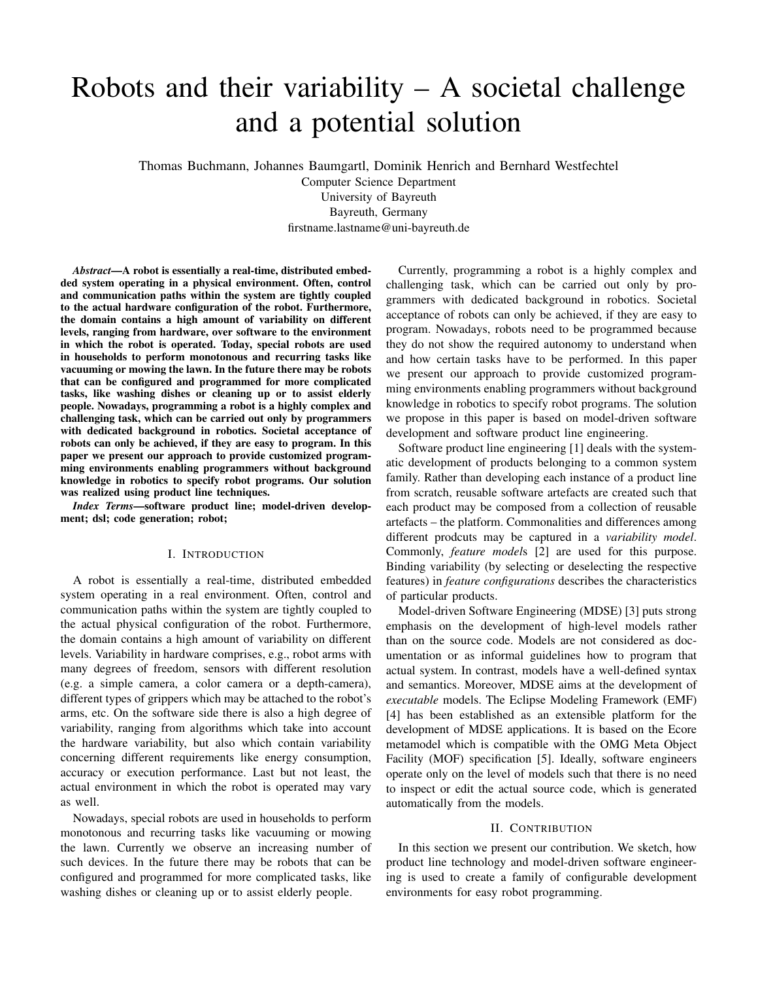# Robots and their variability  $- A$  societal challenge and a potential solution

Thomas Buchmann, Johannes Baumgartl, Dominik Henrich and Bernhard Westfechtel

Computer Science Department University of Bayreuth Bayreuth, Germany firstname.lastname@uni-bayreuth.de

*Abstract*—A robot is essentially a real-time, distributed embedded system operating in a physical environment. Often, control and communication paths within the system are tightly coupled to the actual hardware configuration of the robot. Furthermore, the domain contains a high amount of variability on different levels, ranging from hardware, over software to the environment in which the robot is operated. Today, special robots are used in households to perform monotonous and recurring tasks like vacuuming or mowing the lawn. In the future there may be robots that can be configured and programmed for more complicated tasks, like washing dishes or cleaning up or to assist elderly people. Nowadays, programming a robot is a highly complex and challenging task, which can be carried out only by programmers with dedicated background in robotics. Societal acceptance of robots can only be achieved, if they are easy to program. In this paper we present our approach to provide customized programming environments enabling programmers without background knowledge in robotics to specify robot programs. Our solution was realized using product line techniques.

*Index Terms*—software product line; model-driven development; dsl; code generation; robot;

### I. INTRODUCTION

A robot is essentially a real-time, distributed embedded system operating in a real environment. Often, control and communication paths within the system are tightly coupled to the actual physical configuration of the robot. Furthermore, the domain contains a high amount of variability on different levels. Variability in hardware comprises, e.g., robot arms with many degrees of freedom, sensors with different resolution (e.g. a simple camera, a color camera or a depth-camera), different types of grippers which may be attached to the robot's arms, etc. On the software side there is also a high degree of variability, ranging from algorithms which take into account the hardware variability, but also which contain variability concerning different requirements like energy consumption, accuracy or execution performance. Last but not least, the actual environment in which the robot is operated may vary as well.

Nowadays, special robots are used in households to perform monotonous and recurring tasks like vacuuming or mowing the lawn. Currently we observe an increasing number of such devices. In the future there may be robots that can be configured and programmed for more complicated tasks, like washing dishes or cleaning up or to assist elderly people.

Currently, programming a robot is a highly complex and challenging task, which can be carried out only by programmers with dedicated background in robotics. Societal acceptance of robots can only be achieved, if they are easy to program. Nowadays, robots need to be programmed because they do not show the required autonomy to understand when and how certain tasks have to be performed. In this paper we present our approach to provide customized programming environments enabling programmers without background knowledge in robotics to specify robot programs. The solution we propose in this paper is based on model-driven software development and software product line engineering.

Software product line engineering [1] deals with the systematic development of products belonging to a common system family. Rather than developing each instance of a product line from scratch, reusable software artefacts are created such that each product may be composed from a collection of reusable artefacts – the platform. Commonalities and differences among different prodcuts may be captured in a *variability model*. Commonly, *feature model*s [2] are used for this purpose. Binding variability (by selecting or deselecting the respective features) in *feature configurations* describes the characteristics of particular products.

Model-driven Software Engineering (MDSE) [3] puts strong emphasis on the development of high-level models rather than on the source code. Models are not considered as documentation or as informal guidelines how to program that actual system. In contrast, models have a well-defined syntax and semantics. Moreover, MDSE aims at the development of *executable* models. The Eclipse Modeling Framework (EMF) [4] has been established as an extensible platform for the development of MDSE applications. It is based on the Ecore metamodel which is compatible with the OMG Meta Object Facility (MOF) specification [5]. Ideally, software engineers operate only on the level of models such that there is no need to inspect or edit the actual source code, which is generated automatically from the models.

# II. CONTRIBUTION

In this section we present our contribution. We sketch, how product line technology and model-driven software engineering is used to create a family of configurable development environments for easy robot programming.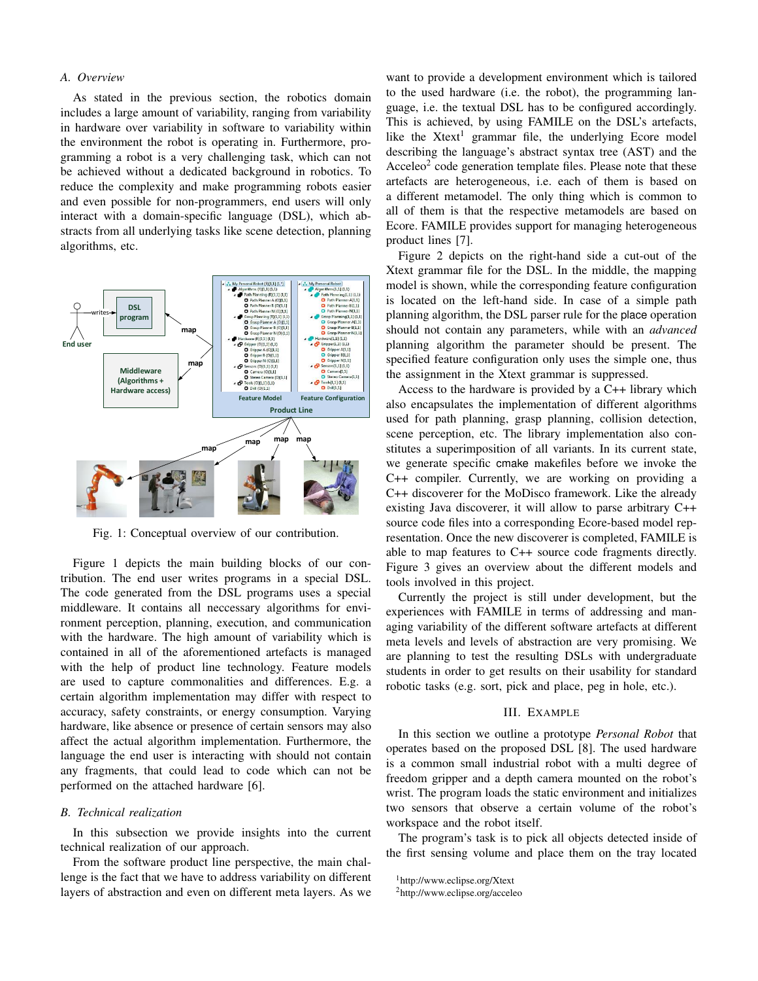## *A. Overview*

As stated in the previous section, the robotics domain includes a large amount of variability, ranging from variability in hardware over variability in software to variability within the environment the robot is operating in. Furthermore, programming a robot is a very challenging task, which can not be achieved without a dedicated background in robotics. To reduce the complexity and make programming robots easier and even possible for non-programmers, end users will only interact with a domain-specific language (DSL), which abstracts from all underlying tasks like scene detection, planning algorithms, etc.



Fig. 1: Conceptual overview of our contribution.

Figure 1 depicts the main building blocks of our contribution. The end user writes programs in a special DSL. The code generated from the DSL programs uses a special middleware. It contains all neccessary algorithms for environment perception, planning, execution, and communication with the hardware. The high amount of variability which is contained in all of the aforementioned artefacts is managed with the help of product line technology. Feature models are used to capture commonalities and differences. E.g. a certain algorithm implementation may differ with respect to accuracy, safety constraints, or energy consumption. Varying hardware, like absence or presence of certain sensors may also affect the actual algorithm implementation. Furthermore, the language the end user is interacting with should not contain any fragments, that could lead to code which can not be performed on the attached hardware [6].

#### *B. Technical realization*

In this subsection we provide insights into the current technical realization of our approach.

From the software product line perspective, the main challenge is the fact that we have to address variability on different layers of abstraction and even on different meta layers. As we

want to provide a development environment which is tailored to the used hardware (i.e. the robot), the programming language, i.e. the textual DSL has to be configured accordingly. This is achieved, by using FAMILE on the DSL's artefacts, like the Xtext<sup>1</sup> grammar file, the underlying Ecore model describing the language's abstract syntax tree (AST) and the  $\text{Acceleo}^2$  code generation template files. Please note that these artefacts are heterogeneous, i.e. each of them is based on a different metamodel. The only thing which is common to all of them is that the respective metamodels are based on Ecore. FAMILE provides support for managing heterogeneous product lines [7].

Figure 2 depicts on the right-hand side a cut-out of the Xtext grammar file for the DSL. In the middle, the mapping model is shown, while the corresponding feature configuration is located on the left-hand side. In case of a simple path planning algorithm, the DSL parser rule for the place operation should not contain any parameters, while with an *advanced* planning algorithm the parameter should be present. The specified feature configuration only uses the simple one, thus the assignment in the Xtext grammar is suppressed.

Access to the hardware is provided by a C++ library which also encapsulates the implementation of different algorithms used for path planning, grasp planning, collision detection, scene perception, etc. The library implementation also constitutes a superimposition of all variants. In its current state, we generate specific cmake makefiles before we invoke the C++ compiler. Currently, we are working on providing a C++ discoverer for the MoDisco framework. Like the already existing Java discoverer, it will allow to parse arbitrary C++ source code files into a corresponding Ecore-based model representation. Once the new discoverer is completed, FAMILE is able to map features to C++ source code fragments directly. Figure 3 gives an overview about the different models and tools involved in this project.

Currently the project is still under development, but the experiences with FAMILE in terms of addressing and managing variability of the different software artefacts at different meta levels and levels of abstraction are very promising. We are planning to test the resulting DSLs with undergraduate students in order to get results on their usability for standard robotic tasks (e.g. sort, pick and place, peg in hole, etc.).

## III. EXAMPLE

In this section we outline a prototype *Personal Robot* that operates based on the proposed DSL [8]. The used hardware is a common small industrial robot with a multi degree of freedom gripper and a depth camera mounted on the robot's wrist. The program loads the static environment and initializes two sensors that observe a certain volume of the robot's workspace and the robot itself.

The program's task is to pick all objects detected inside of the first sensing volume and place them on the tray located

<sup>1</sup>http://www.eclipse.org/Xtext

<sup>2</sup>http://www.eclipse.org/acceleo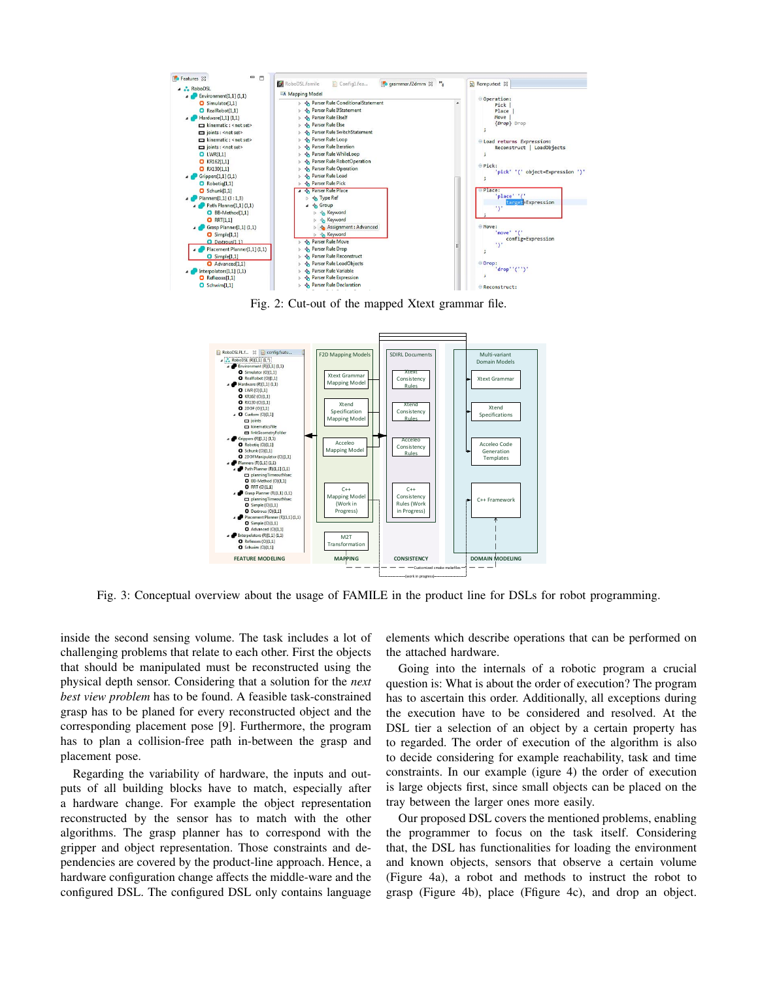

Fig. 2: Cut-out of the mapped Xtext grammar file.



Fig. 3: Conceptual overview about the usage of FAMILE in the product line for DSLs for robot programming.

inside the second sensing volume. The task includes a lot of challenging problems that relate to each other. First the objects that should be manipulated must be reconstructed using the physical depth sensor. Considering that a solution for the *next best view problem* has to be found. A feasible task-constrained grasp has to be planed for every reconstructed object and the corresponding placement pose [9]. Furthermore, the program has to plan a collision-free path in-between the grasp and placement pose.

Regarding the variability of hardware, the inputs and outputs of all building blocks have to match, especially after a hardware change. For example the object representation reconstructed by the sensor has to match with the other algorithms. The grasp planner has to correspond with the gripper and object representation. Those constraints and dependencies are covered by the product-line approach. Hence, a hardware configuration change affects the middle-ware and the configured DSL. The configured DSL only contains language elements which describe operations that can be performed on the attached hardware.

Going into the internals of a robotic program a crucial question is: What is about the order of execution? The program has to ascertain this order. Additionally, all exceptions during the execution have to be considered and resolved. At the DSL tier a selection of an object by a certain property has to regarded. The order of execution of the algorithm is also to decide considering for example reachability, task and time constraints. In our example (igure 4) the order of execution is large objects first, since small objects can be placed on the tray between the larger ones more easily.

Our proposed DSL covers the mentioned problems, enabling the programmer to focus on the task itself. Considering that, the DSL has functionalities for loading the environment and known objects, sensors that observe a certain volume (Figure 4a), a robot and methods to instruct the robot to grasp (Figure 4b), place (Ffigure 4c), and drop an object.